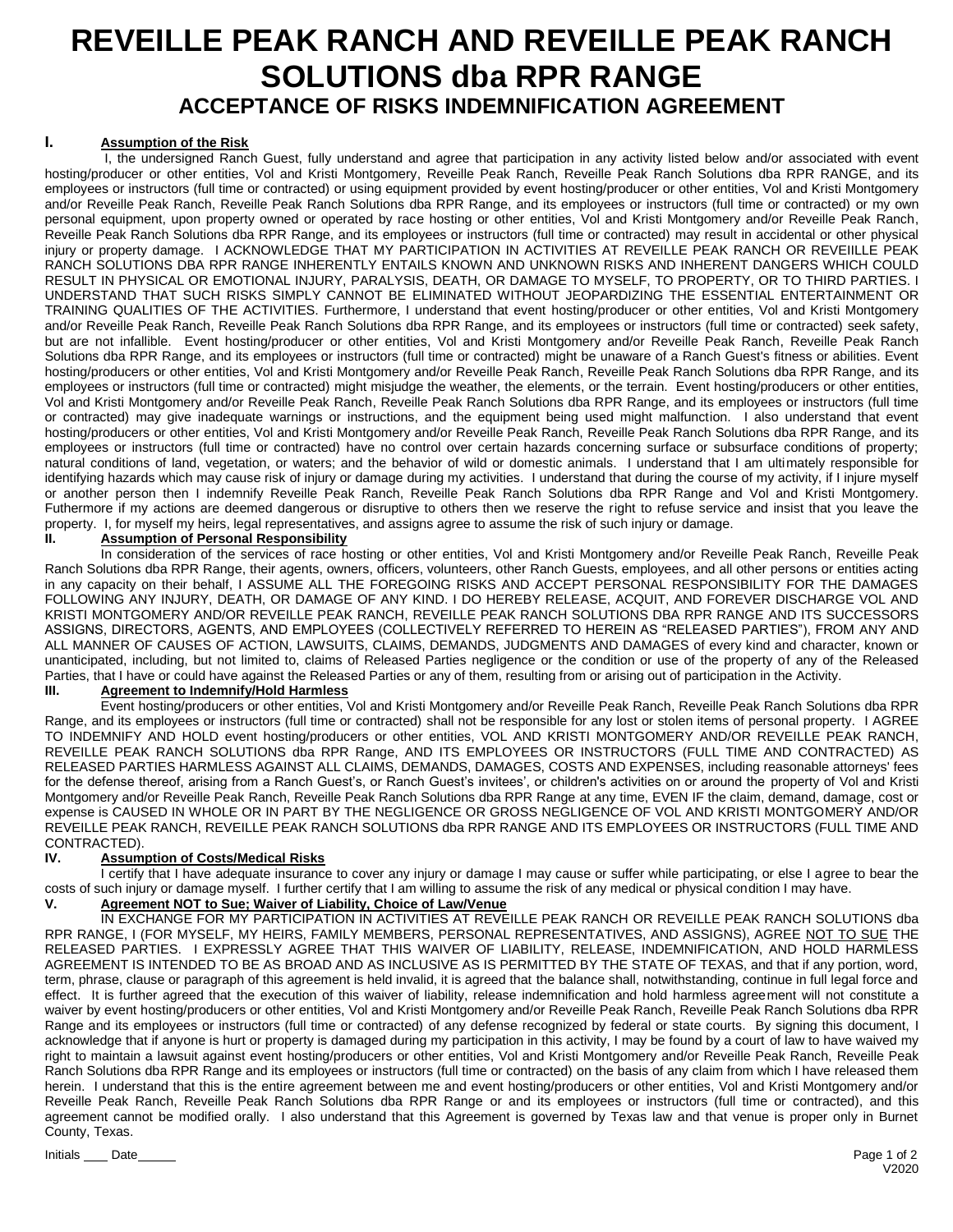# **REVEILLE PEAK RANCH AND REVEILLE PEAK RANCH SOLUTIONS dba RPR RANGE ACCEPTANCE OF RISKS INDEMNIFICATION AGREEMENT**

#### **I. Assumption of the Risk**

 I, the undersigned Ranch Guest, fully understand and agree that participation in any activity listed below and/or associated with event hosting/producer or other entities, Vol and Kristi Montgomery, Reveille Peak Ranch, Reveille Peak Ranch Solutions dba RPR RANGE, and its employees or instructors (full time or contracted) or using equipment provided by event hosting/producer or other entities, Vol and Kristi Montgomery and/or Reveille Peak Ranch, Reveille Peak Ranch Solutions dba RPR Range, and its employees or instructors (full time or contracted) or my own personal equipment, upon property owned or operated by race hosting or other entities, Vol and Kristi Montgomery and/or Reveille Peak Ranch, Reveille Peak Ranch Solutions dba RPR Range, and its employees or instructors (full time or contracted) may result in accidental or other physical injury or property damage. I ACKNOWLEDGE THAT MY PARTICIPATION IN ACTIVITIES AT REVEILLE PEAK RANCH OR REVEIILLE PEAK RANCH SOLUTIONS DBA RPR RANGE INHERENTLY ENTAILS KNOWN AND UNKNOWN RISKS AND INHERENT DANGERS WHICH COULD RESULT IN PHYSICAL OR EMOTIONAL INJURY, PARALYSIS, DEATH, OR DAMAGE TO MYSELF, TO PROPERTY, OR TO THIRD PARTIES. I UNDERSTAND THAT SUCH RISKS SIMPLY CANNOT BE ELIMINATED WITHOUT JEOPARDIZING THE ESSENTIAL ENTERTAINMENT OR TRAINING QUALITIES OF THE ACTIVITIES. Furthermore, I understand that event hosting/producer or other entities, Vol and Kristi Montgomery and/or Reveille Peak Ranch, Reveille Peak Ranch Solutions dba RPR Range, and its employees or instructors (full time or contracted) seek safety, but are not infallible. Event hosting/producer or other entities, Vol and Kristi Montgomery and/or Reveille Peak Ranch, Reveille Peak Ranch Solutions dba RPR Range, and its employees or instructors (full time or contracted) might be unaware of a Ranch Guest's fitness or abilities. Event hosting/producers or other entities, Vol and Kristi Montgomery and/or Reveille Peak Ranch, Reveille Peak Ranch Solutions dba RPR Range, and its employees or instructors (full time or contracted) might misjudge the weather, the elements, or the terrain. Event hosting/producers or other entities, Vol and Kristi Montgomery and/or Reveille Peak Ranch, Reveille Peak Ranch Solutions dba RPR Range, and its employees or instructors (full time or contracted) may give inadequate warnings or instructions, and the equipment being used might malfunction. I also understand that event hosting/producers or other entities, Vol and Kristi Montgomery and/or Reveille Peak Ranch, Reveille Peak Ranch Solutions dba RPR Range, and its employees or instructors (full time or contracted) have no control over certain hazards concerning surface or subsurface conditions of property; natural conditions of land, vegetation, or waters; and the behavior of wild or domestic animals. I understand that I am ultimately responsible for identifying hazards which may cause risk of injury or damage during my activities. I understand that during the course of my activity, if I injure myself or another person then I indemnify Reveille Peak Ranch, Reveille Peak Ranch Solutions dba RPR Range and Vol and Kristi Montgomery. Futhermore if my actions are deemed dangerous or disruptive to others then we reserve the right to refuse service and insist that you leave the property. I, for myself my heirs, legal representatives, and assigns agree to assume the risk of such injury or damage.<br>II. **Assumption of Personal Responsibility** 

#### **Assumption of Personal Responsibility**

In consideration of the services of race hosting or other entities, Vol and Kristi Montgomery and/or Reveille Peak Ranch, Reveille Peak Ranch Solutions dba RPR Range, their agents, owners, officers, volunteers, other Ranch Guests, employees, and all other persons or entities acting in any capacity on their behalf, I ASSUME ALL THE FOREGOING RISKS AND ACCEPT PERSONAL RESPONSIBILITY FOR THE DAMAGES FOLLOWING ANY INJURY, DEATH, OR DAMAGE OF ANY KIND. I DO HEREBY RELEASE, ACQUIT, AND FOREVER DISCHARGE VOL AND KRISTI MONTGOMERY AND/OR REVEILLE PEAK RANCH, REVEILLE PEAK RANCH SOLUTIONS DBA RPR RANGE AND ITS SUCCESSORS ASSIGNS, DIRECTORS, AGENTS, AND EMPLOYEES (COLLECTIVELY REFERRED TO HEREIN AS "RELEASED PARTIES"), FROM ANY AND ALL MANNER OF CAUSES OF ACTION, LAWSUITS, CLAIMS, DEMANDS, JUDGMENTS AND DAMAGES of every kind and character, known or unanticipated, including, but not limited to, claims of Released Parties negligence or the condition or use of the property of any of the Released Parties, that I have or could have against the Released Parties or any of them, resulting from or arising out of participation in the Activity.

#### **Agreement to Indemnify/Hold Harmless**

Event hosting/producers or other entities, Vol and Kristi Montgomery and/or Reveille Peak Ranch, Reveille Peak Ranch Solutions dba RPR Range, and its employees or instructors (full time or contracted) shall not be responsible for any lost or stolen items of personal property. I AGREE TO INDEMNIFY AND HOLD event hosting/producers or other entities, VOL AND KRISTI MONTGOMERY AND/OR REVEILLE PEAK RANCH, REVEILLE PEAK RANCH SOLUTIONS dba RPR Range, AND ITS EMPLOYEES OR INSTRUCTORS (FULL TIME AND CONTRACTED) AS RELEASED PARTIES HARMLESS AGAINST ALL CLAIMS, DEMANDS, DAMAGES, COSTS AND EXPENSES, including reasonable attorneys' fees for the defense thereof, arising from a Ranch Guest's, or Ranch Guest's invitees', or children's activities on or around the property of Vol and Kristi Montgomery and/or Reveille Peak Ranch, Reveille Peak Ranch Solutions dba RPR Range at any time, EVEN IF the claim, demand, damage, cost or expense is CAUSED IN WHOLE OR IN PART BY THE NEGLIGENCE OR GROSS NEGLIGENCE OF VOL AND KRISTI MONTGOMERY AND/OR REVEILLE PEAK RANCH, REVEILLE PEAK RANCH SOLUTIONS dba RPR RANGE AND ITS EMPLOYEES OR INSTRUCTORS (FULL TIME AND CONTRACTED).

#### **IV. Assumption of Costs/Medical Risks**

I certify that I have adequate insurance to cover any injury or damage I may cause or suffer while participating, or else I agree to bear the costs of such injury or damage myself. I further certify that I am willing to assume the risk of any medical or physical condition I may have.

## **V. Agreement NOT to Sue; Waiver of Liability, Choice of Law/Venue**

IN EXCHANGE FOR MY PARTICIPATION IN ACTIVITIES AT REVEILLE PEAK RANCH OR REVEILLE PEAK RANCH SOLUTIONS dba RPR RANGE, I (FOR MYSELF, MY HEIRS, FAMILY MEMBERS, PERSONAL REPRESENTATIVES, AND ASSIGNS), AGREE NOT TO SUE THE RELEASED PARTIES. I EXPRESSLY AGREE THAT THIS WAIVER OF LIABILITY, RELEASE, INDEMNIFICATION, AND HOLD HARMLESS AGREEMENT IS INTENDED TO BE AS BROAD AND AS INCLUSIVE AS IS PERMITTED BY THE STATE OF TEXAS, and that if any portion, word, term, phrase, clause or paragraph of this agreement is held invalid, it is agreed that the balance shall, notwithstanding, continue in full legal force and effect. It is further agreed that the execution of this waiver of liability, release indemnification and hold harmless agreement will not constitute a waiver by event hosting/producers or other entities, Vol and Kristi Montgomery and/or Reveille Peak Ranch, Reveille Peak Ranch Solutions dba RPR Range and its employees or instructors (full time or contracted) of any defense recognized by federal or state courts. By signing this document, I acknowledge that if anyone is hurt or property is damaged during my participation in this activity, I may be found by a court of law to have waived my right to maintain a lawsuit against event hosting/producers or other entities, Vol and Kristi Montgomery and/or Reveille Peak Ranch, Reveille Peak Ranch Solutions dba RPR Range and its employees or instructors (full time or contracted) on the basis of any claim from which I have released them herein. I understand that this is the entire agreement between me and event hosting/producers or other entities, Vol and Kristi Montgomery and/or Reveille Peak Ranch, Reveille Peak Ranch Solutions dba RPR Range or and its employees or instructors (full time or contracted), and this agreement cannot be modified orally. I also understand that this Agreement is governed by Texas law and that venue is proper only in Burnet County, Texas.